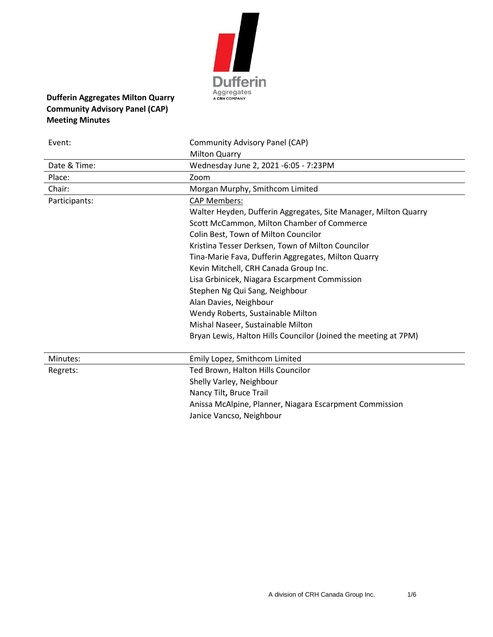

# **Dufferin Aggregates Milton Quarry Community Advisory Panel (CAP) Meeting Minutes**

| Event:        | Community Advisory Panel (CAP)                                  |
|---------------|-----------------------------------------------------------------|
|               | <b>Milton Quarry</b>                                            |
| Date & Time:  | Wednesday June 2, 2021 -6:05 - 7:23PM                           |
| Place:        | Zoom                                                            |
| Chair:        | Morgan Murphy, Smithcom Limited                                 |
| Participants: | <b>CAP Members:</b>                                             |
|               | Walter Heyden, Dufferin Aggregates, Site Manager, Milton Quarry |
|               | Scott McCammon, Milton Chamber of Commerce                      |
|               | Colin Best, Town of Milton Councilor                            |
|               | Kristina Tesser Derksen, Town of Milton Councilor               |
|               | Tina-Marie Fava, Dufferin Aggregates, Milton Quarry             |
|               | Kevin Mitchell, CRH Canada Group Inc.                           |
|               | Lisa Grbinicek, Niagara Escarpment Commission                   |
|               | Stephen Ng Qui Sang, Neighbour                                  |
|               | Alan Davies, Neighbour                                          |
|               | Wendy Roberts, Sustainable Milton                               |
|               | Mishal Naseer, Sustainable Milton                               |
|               | Bryan Lewis, Halton Hills Councilor (Joined the meeting at 7PM) |
| Minutes:      | Emily Lopez, Smithcom Limited                                   |
| Regrets:      | Ted Brown, Halton Hills Councilor                               |
|               | Shelly Varley, Neighbour                                        |
|               | Nancy Tilt, Bruce Trail                                         |
|               | Anissa McAlpine, Planner, Niagara Escarpment Commission         |
|               | Janice Vancso, Neighbour                                        |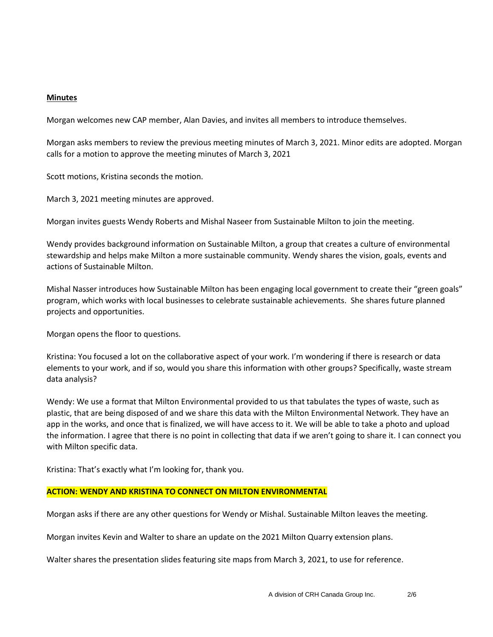### **Minutes**

Morgan welcomes new CAP member, Alan Davies, and invites all members to introduce themselves.

Morgan asks members to review the previous meeting minutes of March 3, 2021. Minor edits are adopted. Morgan calls for a motion to approve the meeting minutes of March 3, 2021

Scott motions, Kristina seconds the motion.

March 3, 2021 meeting minutes are approved.

Morgan invites guests Wendy Roberts and Mishal Naseer from Sustainable Milton to join the meeting.

Wendy provides background information on Sustainable Milton, a group that creates a culture of environmental stewardship and helps make Milton a more sustainable community. Wendy shares the vision, goals, events and actions of Sustainable Milton.

Mishal Nasser introduces how Sustainable Milton has been engaging local government to create their "green goals" program, which works with local businesses to celebrate sustainable achievements. She shares future planned projects and opportunities.

Morgan opens the floor to questions.

Kristina: You focused a lot on the collaborative aspect of your work. I'm wondering if there is research or data elements to your work, and if so, would you share this information with other groups? Specifically, waste stream data analysis?

Wendy: We use a format that Milton Environmental provided to us that tabulates the types of waste, such as plastic, that are being disposed of and we share this data with the Milton Environmental Network. They have an app in the works, and once that is finalized, we will have access to it. We will be able to take a photo and upload the information. I agree that there is no point in collecting that data if we aren't going to share it. I can connect you with Milton specific data.

Kristina: That's exactly what I'm looking for, thank you.

#### **ACTION: WENDY AND KRISTINA TO CONNECT ON MILTON ENVIRONMENTAL**

Morgan asks if there are any other questions for Wendy or Mishal. Sustainable Milton leaves the meeting.

Morgan invites Kevin and Walter to share an update on the 2021 Milton Quarry extension plans.

Walter shares the presentation slides featuring site maps from March 3, 2021, to use for reference.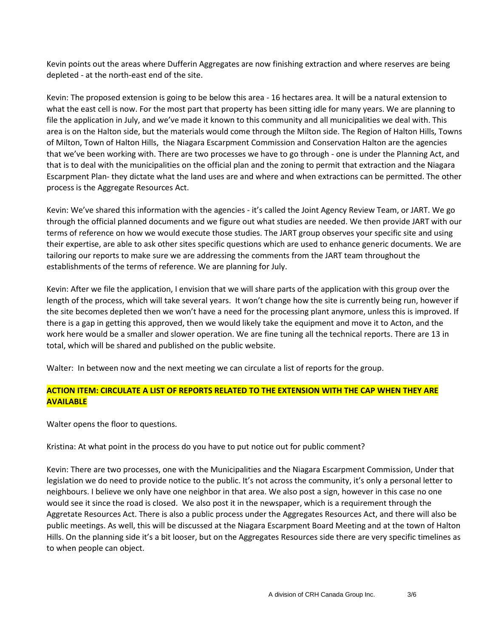Kevin points out the areas where Dufferin Aggregates are now finishing extraction and where reserves are being depleted - at the north-east end of the site.

Kevin: The proposed extension is going to be below this area - 16 hectares area. It will be a natural extension to what the east cell is now. For the most part that property has been sitting idle for many years. We are planning to file the application in July, and we've made it known to this community and all municipalities we deal with. This area is on the Halton side, but the materials would come through the Milton side. The Region of Halton Hills, Towns of Milton, Town of Halton Hills, the Niagara Escarpment Commission and Conservation Halton are the agencies that we've been working with. There are two processes we have to go through - one is under the Planning Act, and that is to deal with the municipalities on the official plan and the zoning to permit that extraction and the Niagara Escarpment Plan- they dictate what the land uses are and where and when extractions can be permitted. The other process is the Aggregate Resources Act.

Kevin: We've shared this information with the agencies - it's called the Joint Agency Review Team, or JART. We go through the official planned documents and we figure out what studies are needed. We then provide JART with our terms of reference on how we would execute those studies. The JART group observes your specific site and using their expertise, are able to ask other sites specific questions which are used to enhance generic documents. We are tailoring our reports to make sure we are addressing the comments from the JART team throughout the establishments of the terms of reference. We are planning for July.

Kevin: After we file the application, I envision that we will share parts of the application with this group over the length of the process, which will take several years. It won't change how the site is currently being run, however if the site becomes depleted then we won't have a need for the processing plant anymore, unless this is improved. If there is a gap in getting this approved, then we would likely take the equipment and move it to Acton, and the work here would be a smaller and slower operation. We are fine tuning all the technical reports. There are 13 in total, which will be shared and published on the public website.

Walter: In between now and the next meeting we can circulate a list of reports for the group.

## **ACTION ITEM: CIRCULATE A LIST OF REPORTS RELATED TO THE EXTENSION WITH THE CAP WHEN THEY ARE AVAILABLE**

Walter opens the floor to questions.

Kristina: At what point in the process do you have to put notice out for public comment?

Kevin: There are two processes, one with the Municipalities and the Niagara Escarpment Commission, Under that legislation we do need to provide notice to the public. It's not across the community, it's only a personal letter to neighbours. I believe we only have one neighbor in that area. We also post a sign, however in this case no one would see it since the road is closed. We also post it in the newspaper, which is a requirement through the Aggretate Resources Act. There is also a public process under the Aggregates Resources Act, and there will also be public meetings. As well, this will be discussed at the Niagara Escarpment Board Meeting and at the town of Halton Hills. On the planning side it's a bit looser, but on the Aggregates Resources side there are very specific timelines as to when people can object.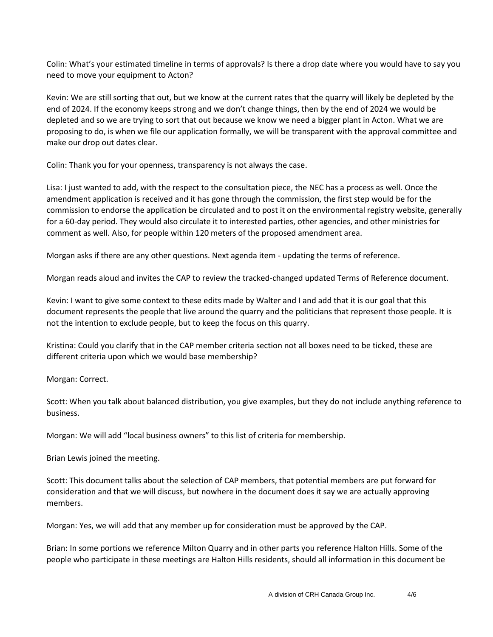Colin: What's your estimated timeline in terms of approvals? Is there a drop date where you would have to say you need to move your equipment to Acton?

Kevin: We are still sorting that out, but we know at the current rates that the quarry will likely be depleted by the end of 2024. If the economy keeps strong and we don't change things, then by the end of 2024 we would be depleted and so we are trying to sort that out because we know we need a bigger plant in Acton. What we are proposing to do, is when we file our application formally, we will be transparent with the approval committee and make our drop out dates clear.

Colin: Thank you for your openness, transparency is not always the case.

Lisa: I just wanted to add, with the respect to the consultation piece, the NEC has a process as well. Once the amendment application is received and it has gone through the commission, the first step would be for the commission to endorse the application be circulated and to post it on the environmental registry website, generally for a 60-day period. They would also circulate it to interested parties, other agencies, and other ministries for comment as well. Also, for people within 120 meters of the proposed amendment area.

Morgan asks if there are any other questions. Next agenda item - updating the terms of reference.

Morgan reads aloud and invites the CAP to review the tracked-changed updated Terms of Reference document.

Kevin: I want to give some context to these edits made by Walter and I and add that it is our goal that this document represents the people that live around the quarry and the politicians that represent those people. It is not the intention to exclude people, but to keep the focus on this quarry.

Kristina: Could you clarify that in the CAP member criteria section not all boxes need to be ticked, these are different criteria upon which we would base membership?

Morgan: Correct.

Scott: When you talk about balanced distribution, you give examples, but they do not include anything reference to business.

Morgan: We will add "local business owners" to this list of criteria for membership.

Brian Lewis joined the meeting.

Scott: This document talks about the selection of CAP members, that potential members are put forward for consideration and that we will discuss, but nowhere in the document does it say we are actually approving members.

Morgan: Yes, we will add that any member up for consideration must be approved by the CAP.

Brian: In some portions we reference Milton Quarry and in other parts you reference Halton Hills. Some of the people who participate in these meetings are Halton Hills residents, should all information in this document be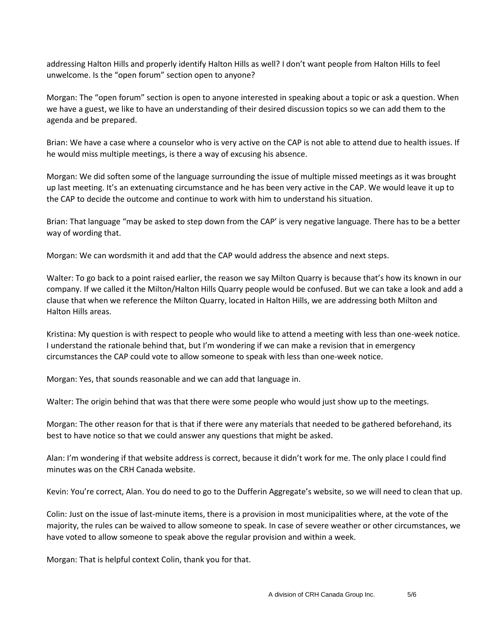addressing Halton Hills and properly identify Halton Hills as well? I don't want people from Halton Hills to feel unwelcome. Is the "open forum" section open to anyone?

Morgan: The "open forum" section is open to anyone interested in speaking about a topic or ask a question. When we have a guest, we like to have an understanding of their desired discussion topics so we can add them to the agenda and be prepared.

Brian: We have a case where a counselor who is very active on the CAP is not able to attend due to health issues. If he would miss multiple meetings, is there a way of excusing his absence.

Morgan: We did soften some of the language surrounding the issue of multiple missed meetings as it was brought up last meeting. It's an extenuating circumstance and he has been very active in the CAP. We would leave it up to the CAP to decide the outcome and continue to work with him to understand his situation.

Brian: That language "may be asked to step down from the CAP' is very negative language. There has to be a better way of wording that.

Morgan: We can wordsmith it and add that the CAP would address the absence and next steps.

Walter: To go back to a point raised earlier, the reason we say Milton Quarry is because that's how its known in our company. If we called it the Milton/Halton Hills Quarry people would be confused. But we can take a look and add a clause that when we reference the Milton Quarry, located in Halton Hills, we are addressing both Milton and Halton Hills areas.

Kristina: My question is with respect to people who would like to attend a meeting with less than one-week notice. I understand the rationale behind that, but I'm wondering if we can make a revision that in emergency circumstances the CAP could vote to allow someone to speak with less than one-week notice.

Morgan: Yes, that sounds reasonable and we can add that language in.

Walter: The origin behind that was that there were some people who would just show up to the meetings.

Morgan: The other reason for that is that if there were any materials that needed to be gathered beforehand, its best to have notice so that we could answer any questions that might be asked.

Alan: I'm wondering if that website address is correct, because it didn't work for me. The only place I could find minutes was on the CRH Canada website.

Kevin: You're correct, Alan. You do need to go to the Dufferin Aggregate's website, so we will need to clean that up.

Colin: Just on the issue of last-minute items, there is a provision in most municipalities where, at the vote of the majority, the rules can be waived to allow someone to speak. In case of severe weather or other circumstances, we have voted to allow someone to speak above the regular provision and within a week.

Morgan: That is helpful context Colin, thank you for that.